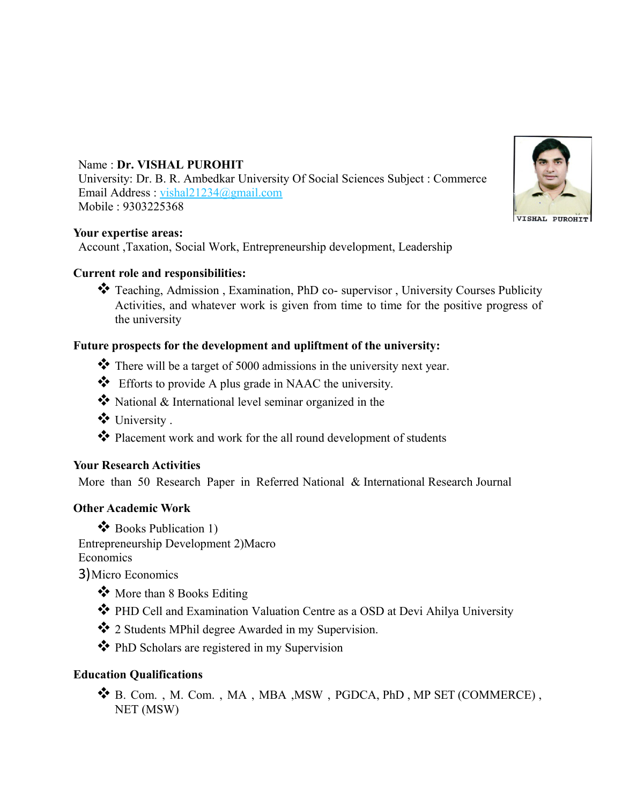# Name : **Dr. VISHAL PUROHIT**

University: Dr. B. R. Ambedkar University Of Social Sciences Subject : Commerce Email Address : [vishal21234@gmail.com](mailto:vishal21234@gmail.com) Mobile : 9303225368

#### **Your expertise areas:**

Account ,Taxation, Social Work, Entrepreneurship development, Leadership

#### **Current role and responsibilities:**

\* Teaching, Admission, Examination, PhD co- supervisor, University Courses Publicity Activities, and whatever work is given from time to time for the positive progress of the university

## **Future prospects for the development and upliftment of the university:**

- \* There will be a target of 5000 admissions in the university next year.
- Efforts to provide A plus grade in NAAC the university.
- $\bullet$  National & International level seminar organized in the
- University .
- Placement work and work for the all round development of students

## **Your Research Activities**

More than 50 Research Paper in Referred National & International Research Journal

## **Other Academic Work**

❖ Books Publication 1) Entrepreneurship Development 2)Macro Economics

3)Micro Economics

- \* More than 8 Books Editing
- PHD Cell and Examination Valuation Centre as a OSD at Devi Ahilya University
- 2 Students MPhil degree Awarded in my Supervision.
- PhD Scholars are registered in my Supervision

## **Education Qualifications**

 B. Com. , M. Com. , MA , MBA ,MSW , PGDCA, PhD , MP SET (COMMERCE) , NET (MSW)